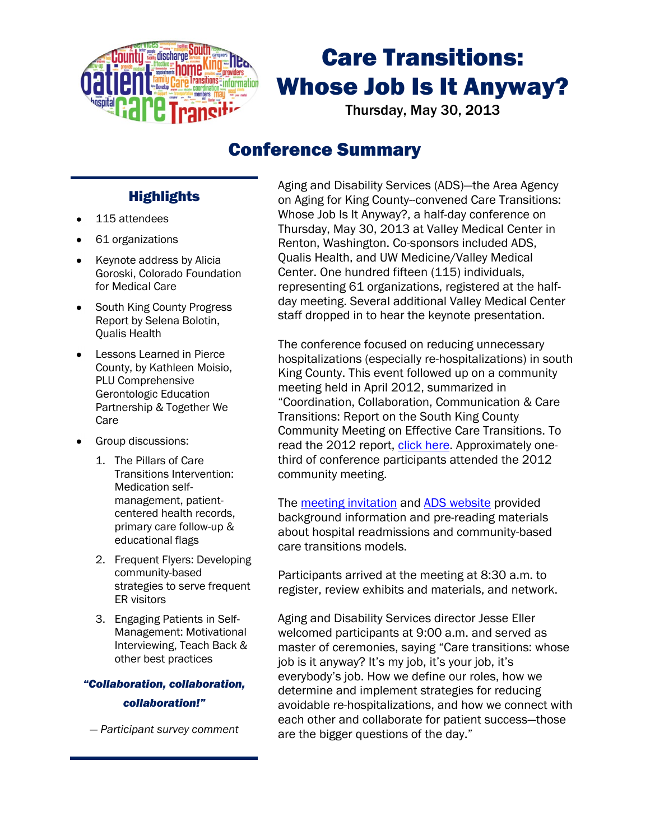

# Care Transitions: Whose Job Is It Anyway?

Thursday, May 30, 2013

# Conference Summary

# **Highlights**

- 115 attendees
- 61 organizations
- Keynote address by Alicia Goroski, Colorado Foundation for Medical Care
- South King County Progress Report by Selena Bolotin, Qualis Health
- Lessons Learned in Pierce County, by Kathleen Moisio, PLU Comprehensive Gerontologic Education Partnership & Together We Care
- Group discussions:
	- 1. The Pillars of Care Transitions Intervention: Medication selfmanagement, patientcentered health records, primary care follow-up & educational flags
	- 2. Frequent Flyers: Developing community-based strategies to serve frequent ER visitors
	- 3. Engaging Patients in Self-Management: Motivational Interviewing, Teach Back & other best practices

## *"Collaboration, collaboration, collaboration!"*

*— Participant survey comment*

Aging and Disability Services (ADS)—the Area Agency on Aging for King County--convened Care Transitions: Whose Job Is It Anyway?, a half-day conference on Thursday, May 30, 2013 at Valley Medical Center in Renton, Washington. Co-sponsors included ADS, Qualis Health, and UW Medicine/Valley Medical Center. One hundred fifteen (115) individuals, representing 61 organizations, registered at the halfday meeting. Several additional Valley Medical Center staff dropped in to hear the keynote presentation.

The conference focused on reducing unnecessary hospitalizations (especially re-hospitalizations) in south King County. This event followed up on a community meeting held in April 2012, summarized in "Coordination, Collaboration, Communication & Care Transitions: Report on the South King County Community Meeting on Effective Care Transitions. To read the 2012 report, [click here.](http://www.agingkingcounty.org/healthcarereform/docs/skccommunitymtg_041712_summary.pdf) Approximately onethird of conference participants attended the 2012 community meeting.

The [meeting invitation](http://www.agingkingcounty.org/healthcarereform/docs/CTconference053013.pdf) and [ADS website](http://www.agingkingcounty.org/healthcarereform/default.htm) provided background information and pre-reading materials about hospital readmissions and community-based care transitions models.

Participants arrived at the meeting at 8:30 a.m. to register, review exhibits and materials, and network.

Aging and Disability Services director Jesse Eller welcomed participants at 9:00 a.m. and served as master of ceremonies, saying "Care transitions: whose job is it anyway? It's my job, it's your job, it's everybody's job. How we define our roles, how we determine and implement strategies for reducing avoidable re-hospitalizations, and how we connect with each other and collaborate for patient success—those are the bigger questions of the day."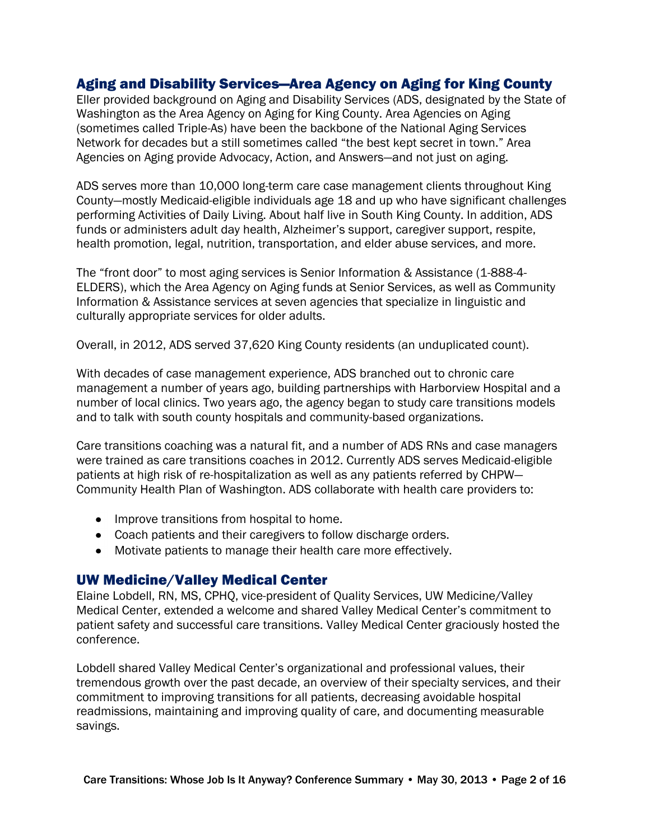## Aging and Disability Services—Area Agency on Aging for King County

Eller provided background on Aging and Disability Services (ADS, designated by the State of Washington as the Area Agency on Aging for King County. Area Agencies on Aging (sometimes called Triple-As) have been the backbone of the National Aging Services Network for decades but a still sometimes called "the best kept secret in town." Area Agencies on Aging provide Advocacy, Action, and Answers—and not just on aging.

ADS serves more than 10,000 long-term care case management clients throughout King County—mostly Medicaid-eligible individuals age 18 and up who have significant challenges performing Activities of Daily Living. About half live in South King County. In addition, ADS funds or administers adult day health, Alzheimer's support, caregiver support, respite, health promotion, legal, nutrition, transportation, and elder abuse services, and more.

The "front door" to most aging services is Senior Information & Assistance (1-888-4- ELDERS), which the Area Agency on Aging funds at Senior Services, as well as Community Information & Assistance services at seven agencies that specialize in linguistic and culturally appropriate services for older adults.

Overall, in 2012, ADS served 37,620 King County residents (an unduplicated count).

With decades of case management experience, ADS branched out to chronic care management a number of years ago, building partnerships with Harborview Hospital and a number of local clinics. Two years ago, the agency began to study care transitions models and to talk with south county hospitals and community-based organizations.

Care transitions coaching was a natural fit, and a number of ADS RNs and case managers were trained as care transitions coaches in 2012. Currently ADS serves Medicaid-eligible patients at high risk of re-hospitalization as well as any patients referred by CHPW— Community Health Plan of Washington. ADS collaborate with health care providers to:

- **•** Improve transitions from hospital to home.
- Coach patients and their caregivers to follow discharge orders.
- Motivate patients to manage their health care more effectively.

#### UW Medicine/Valley Medical Center

Elaine Lobdell, RN, MS, CPHQ, vice-president of Quality Services, UW Medicine/Valley Medical Center, extended a welcome and shared Valley Medical Center's commitment to patient safety and successful care transitions. Valley Medical Center graciously hosted the conference.

Lobdell shared Valley Medical Center's organizational and professional values, their tremendous growth over the past decade, an overview of their specialty services, and their commitment to improving transitions for all patients, decreasing avoidable hospital readmissions, maintaining and improving quality of care, and documenting measurable savings.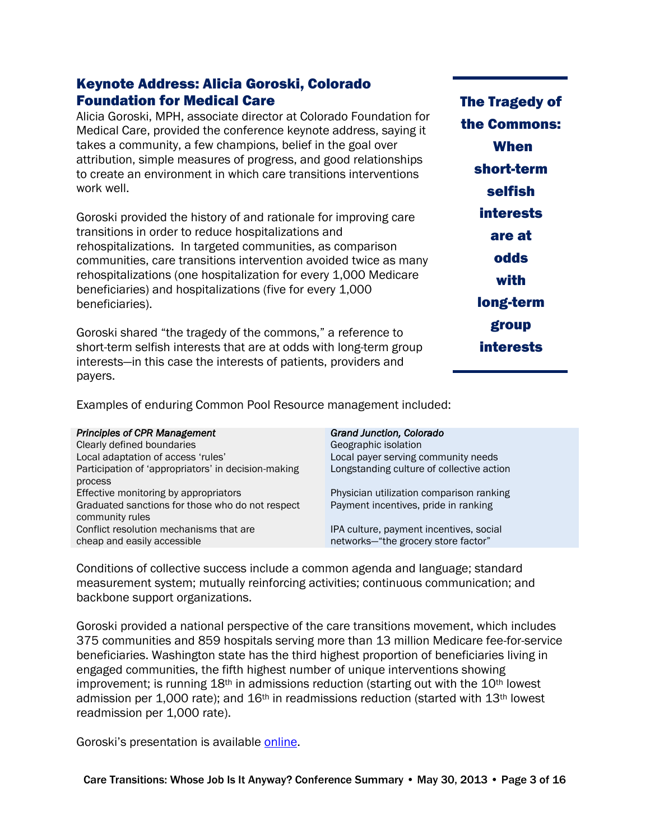## Keynote Address: Alicia Goroski, Colorado Foundation for Medical Care

Alicia Goroski, MPH, associate director at Colorado Foundation for Medical Care, provided the conference keynote address, saying it takes a community, a few champions, belief in the goal over attribution, simple measures of progress, and good relationships to create an environment in which care transitions interventions work well.

Goroski provided the history of and rationale for improving care transitions in order to reduce hospitalizations and rehospitalizations. In targeted communities, as comparison communities, care transitions intervention avoided twice as many rehospitalizations (one hospitalization for every 1,000 Medicare beneficiaries) and hospitalizations (five for every 1,000 beneficiaries).

Goroski shared "the tragedy of the commons," a reference to short-term selfish interests that are at odds with long-term group interests—in this case the interests of patients, providers and payers.

The Tragedy of the Commons: When short-term selfish interests are at odds with long-term group interests

Examples of enduring Common Pool Resource management included:

|  |  | <b>Principles of CPR Management</b> |
|--|--|-------------------------------------|
|--|--|-------------------------------------|

Clearly defined boundaries Geographic isolation Local adaptation of access 'rules' Local payer serving community needs Participation of 'appropriators' in decision-making process Effective monitoring by appropriators Physician utilization comparison ranking Graduated sanctions for those who do not respect community rules Conflict resolution mechanisms that are cheap and easily accessible

Grand Junction, Colorado Longstanding culture of collective action Payment incentives, pride in ranking IPA culture, payment incentives, social networks—"the grocery store factor"

Conditions of collective success include a common agenda and language; standard measurement system; mutually reinforcing activities; continuous communication; and backbone support organizations.

Goroski provided a national perspective of the care transitions movement, which includes 375 communities and 859 hospitals serving more than 13 million Medicare fee-for-service beneficiaries. Washington state has the third highest proportion of beneficiaries living in engaged communities, the fifth highest number of unique interventions showing improvement; is running  $18<sup>th</sup>$  in admissions reduction (starting out with the  $10<sup>th</sup>$  lowest admission per 1,000 rate); and  $16<sup>th</sup>$  in readmissions reduction (started with  $13<sup>th</sup>$  lowest readmission per 1,000 rate).

Goroski's presentation is available [online.](http://www.agingkingcounty.org/healthcarereform/docs/Presentation_AliciaGoroski.pdf)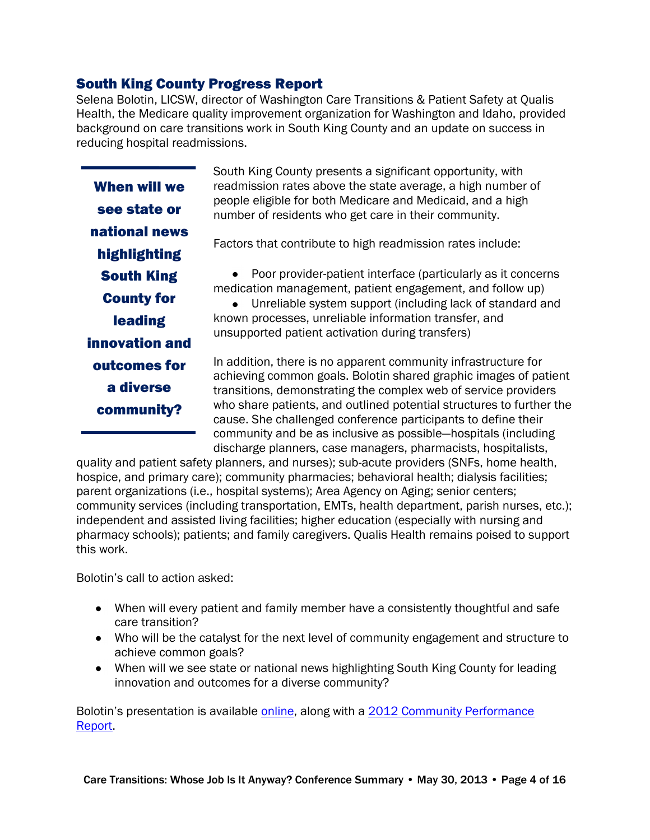## South King County Progress Report

Selena Bolotin, LICSW, director of Washington Care Transitions & Patient Safety at Qualis Health, the Medicare quality improvement organization for Washington and Idaho, provided background on care transitions work in South King County and an update on success in reducing hospital readmissions.

When will we see state or national news highlighting South King County for leading innovation and outcomes for a diverse community?

South King County presents a significant opportunity, with readmission rates above the state average, a high number of people eligible for both Medicare and Medicaid, and a high number of residents who get care in their community.

Factors that contribute to high readmission rates include:

Poor provider-patient interface (particularly as it concerns medication management, patient engagement, and follow up)

Unreliable system support (including lack of standard and known processes, unreliable information transfer, and unsupported patient activation during transfers)

In addition, there is no apparent community infrastructure for achieving common goals. Bolotin shared graphic images of patient transitions, demonstrating the complex web of service providers who share patients, and outlined potential structures to further the cause. She challenged conference participants to define their community and be as inclusive as possible—hospitals (including discharge planners, case managers, pharmacists, hospitalists,

quality and patient safety planners, and nurses); sub-acute providers (SNFs, home health, hospice, and primary care); community pharmacies; behavioral health; dialysis facilities; parent organizations (i.e., hospital systems); Area Agency on Aging; senior centers; community services (including transportation, EMTs, health department, parish nurses, etc.); independent and assisted living facilities; higher education (especially with nursing and pharmacy schools); patients; and family caregivers. Qualis Health remains poised to support this work.

Bolotin's call to action asked:

- When will every patient and family member have a consistently thoughtful and safe care transition?
- Who will be the catalyst for the next level of community engagement and structure to achieve common goals?
- When will we see state or national news highlighting South King County for leading innovation and outcomes for a diverse community?

Bolotin's presentation is available [online,](http://www.agingkingcounty.org/healthcarereform/docs/Presentation_SelenaBolotin.pdf) along with a 2012 Community Performance [Report.](http://www.agingkingcounty.org/healthcarereform/docs/Presentation_handout_SelenaBolotin.pdf)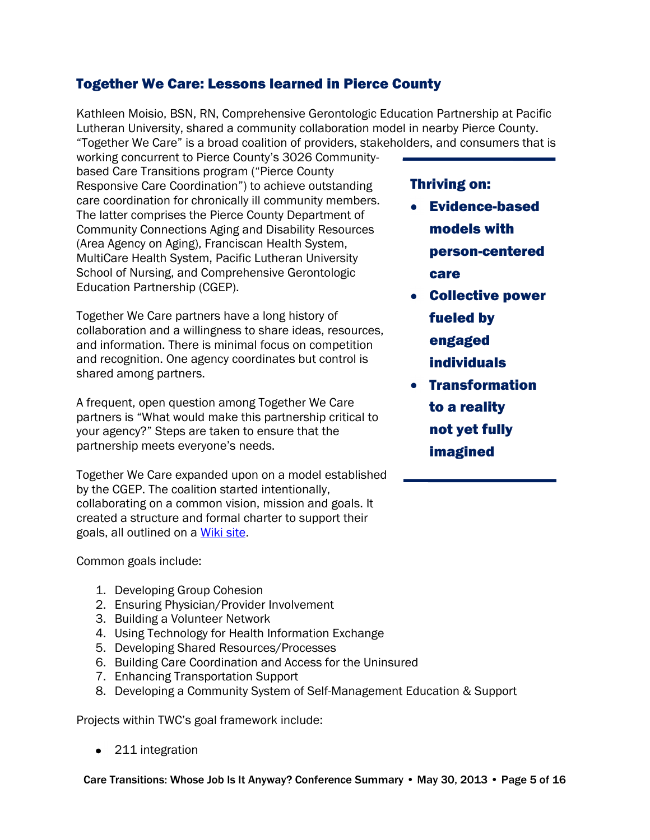## Together We Care: Lessons learned in Pierce County

Kathleen Moisio, BSN, RN, Comprehensive Gerontologic Education Partnership at Pacific Lutheran University, shared a community collaboration model in nearby Pierce County. "Together We Care" is a broad coalition of providers, stakeholders, and consumers that is

working concurrent to Pierce County's 3026 Communitybased Care Transitions program ("Pierce County Responsive Care Coordination") to achieve outstanding care coordination for chronically ill community members. The latter comprises the Pierce County Department of Community Connections Aging and Disability Resources (Area Agency on Aging), Franciscan Health System, MultiCare Health System, Pacific Lutheran University School of Nursing, and Comprehensive Gerontologic Education Partnership (CGEP).

Together We Care partners have a long history of collaboration and a willingness to share ideas, resources, and information. There is minimal focus on competition and recognition. One agency coordinates but control is shared among partners.

A frequent, open question among Together We Care partners is "What would make this partnership critical to your agency?" Steps are taken to ensure that the partnership meets everyone's needs.

Together We Care expanded upon on a model established by the CGEP. The coalition started intentionally, collaborating on a common vision, mission and goals. It created a structure and formal charter to support their goals, all outlined on a [Wiki site.](https://sites.google.com/a/plu.edu/together-we-care/)

#### Common goals include:

- 1. Developing Group Cohesion
- 2. Ensuring Physician/Provider Involvement
- 3. Building a Volunteer Network
- 4. Using Technology for Health Information Exchange
- 5. Developing Shared Resources/Processes
- 6. Building Care Coordination and Access for the Uninsured
- 7. Enhancing Transportation Support
- 8. Developing a Community System of Self-Management Education & Support

Projects within TWC's goal framework include:

• 211 integration

## Thriving on:

- Evidence-based models with person-centered care
- Collective power fueled by engaged
	- individuals
- **•** Transformation to a reality not yet fully imagined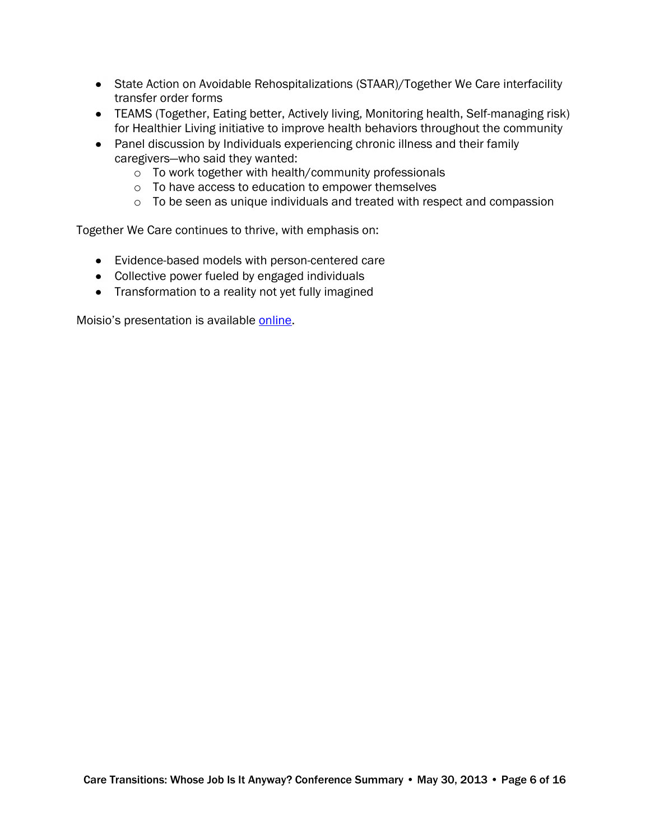- State Action on Avoidable Rehospitalizations (STAAR)/Together We Care interfacility transfer order forms
- TEAMS (Together, Eating better, Actively living, Monitoring health, Self-managing risk) for Healthier Living initiative to improve health behaviors throughout the community
- Panel discussion by Individuals experiencing chronic illness and their family caregivers—who said they wanted:
	- o To work together with health/community professionals
	- o To have access to education to empower themselves
	- o To be seen as unique individuals and treated with respect and compassion

Together We Care continues to thrive, with emphasis on:

- Evidence-based models with person-centered care
- Collective power fueled by engaged individuals
- Transformation to a reality not yet fully imagined

Moisio's presentation is available [online.](http://www.agingkingcounty.org/healthcarereform/docs/Presentation_TogetherWeCare.pdf)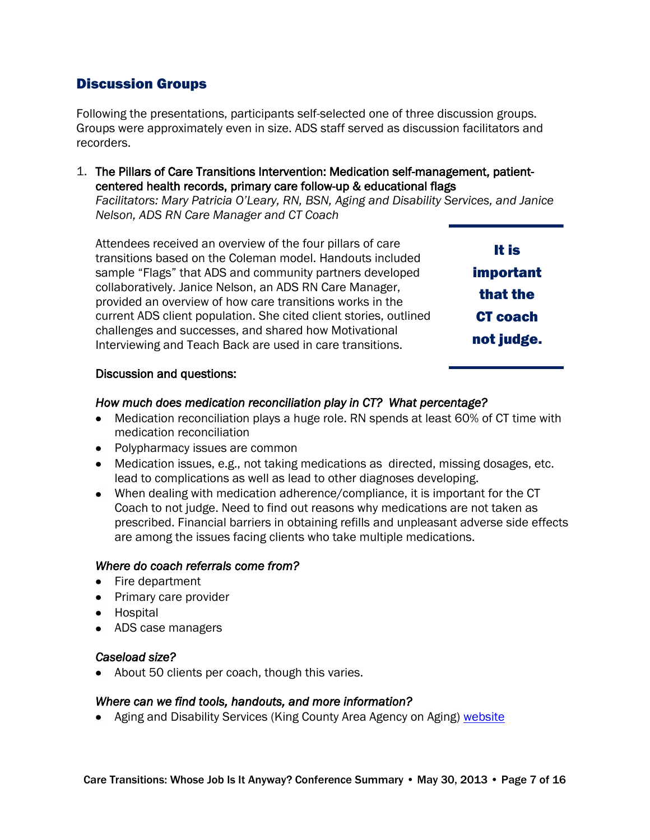## Discussion Groups

Following the presentations, participants self-selected one of three discussion groups. Groups were approximately even in size. ADS staff served as discussion facilitators and recorders.

1. The Pillars of Care Transitions Intervention: Medication self-management, patientcentered health records, primary care follow-up & educational flags *Facilitators: Mary Patricia O'Leary, RN, BSN, Aging and Disability Services, and Janice* 

*Nelson, ADS RN Care Manager and CT Coach* 

Attendees received an overview of the four pillars of care transitions based on the Coleman model. Handouts included sample "Flags" that ADS and community partners developed collaboratively. Janice Nelson, an ADS RN Care Manager, provided an overview of how care transitions works in the current ADS client population. She cited client stories, outlined challenges and successes, and shared how Motivational Interviewing and Teach Back are used in care transitions.

| It is            |  |  |
|------------------|--|--|
| <b>important</b> |  |  |
| that the         |  |  |
| <b>CT</b> coach  |  |  |
| not judge.       |  |  |

#### Discussion and questions:

#### *How much does medication reconciliation play in CT? What percentage?*

- Medication reconciliation plays a huge role. RN spends at least 60% of CT time with medication reconciliation
- Polypharmacy issues are common
- Medication issues, e.g., not taking medications as directed, missing dosages, etc. lead to complications as well as lead to other diagnoses developing.
- When dealing with medication adherence/compliance, it is important for the CT Coach to not judge. Need to find out reasons why medications are not taken as prescribed. Financial barriers in obtaining refills and unpleasant adverse side effects are among the issues facing clients who take multiple medications.

#### *Where do coach referrals come from?*

- Fire department
- Primary care provider
- Hospital
- ADS case managers

#### *Caseload size?*

• About 50 clients per coach, though this varies.

#### *Where can we find tools, handouts, and more information?*

• Aging and Disability Services (King County Area Agency on Aging) [website](http://www.agingkingcounty.org/healthcarereform/)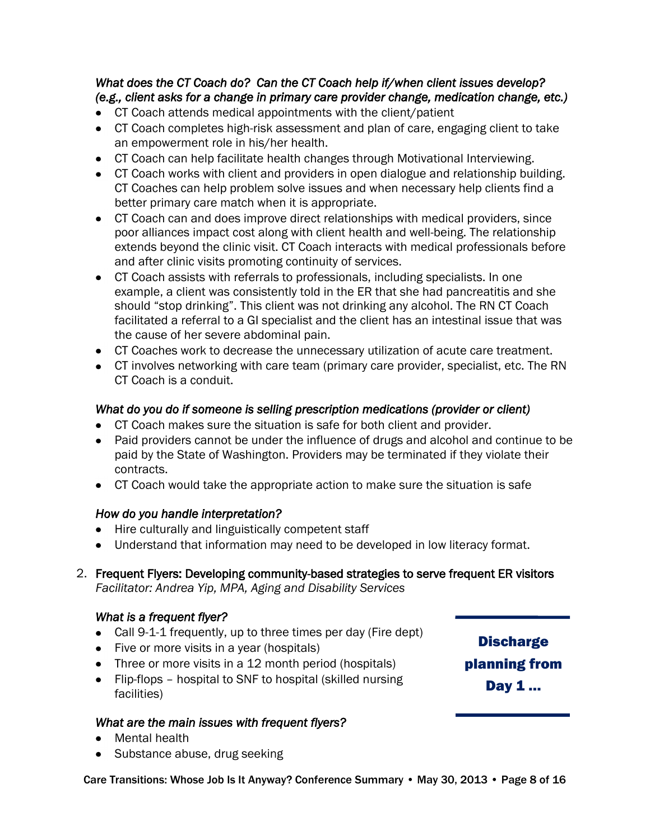#### *What does the CT Coach do? Can the CT Coach help if/when client issues develop? (e.g., client asks for a change in primary care provider change, medication change, etc.)*

- CT Coach attends medical appointments with the client/patient
- CT Coach completes high-risk assessment and plan of care, engaging client to take an empowerment role in his/her health.
- CT Coach can help facilitate health changes through Motivational Interviewing.
- CT Coach works with client and providers in open dialogue and relationship building. CT Coaches can help problem solve issues and when necessary help clients find a better primary care match when it is appropriate.
- CT Coach can and does improve direct relationships with medical providers, since poor alliances impact cost along with client health and well-being. The relationship extends beyond the clinic visit. CT Coach interacts with medical professionals before and after clinic visits promoting continuity of services.
- CT Coach assists with referrals to professionals, including specialists. In one example, a client was consistently told in the ER that she had pancreatitis and she should "stop drinking". This client was not drinking any alcohol. The RN CT Coach facilitated a referral to a GI specialist and the client has an intestinal issue that was the cause of her severe abdominal pain.
- CT Coaches work to decrease the unnecessary utilization of acute care treatment.
- CT involves networking with care team (primary care provider, specialist, etc. The RN CT Coach is a conduit.

## *What do you do if someone is selling prescription medications (provider or client)*

- CT Coach makes sure the situation is safe for both client and provider.
- Paid providers cannot be under the influence of drugs and alcohol and continue to be paid by the State of Washington. Providers may be terminated if they violate their contracts.
- CT Coach would take the appropriate action to make sure the situation is safe

#### *How do you handle interpretation?*

- Hire culturally and linguistically competent staff
- Understand that information may need to be developed in low literacy format.  $\bullet$
- 2. Frequent Flyers: Developing community-based strategies to serve frequent ER visitors *Facilitator: Andrea Yip, MPA, Aging and Disability Services*

## *What is a frequent flyer?*

- Call 9-1-1 frequently, up to three times per day (Fire dept)
- Five or more visits in a year (hospitals)
- Three or more visits in a 12 month period (hospitals)
- Flip-flops hospital to SNF to hospital (skilled nursing facilities)

#### *What are the main issues with frequent flyers?*

- Mental health
- Substance abuse, drug seeking

Care Transitions: Whose Job Is It Anyway? Conference Summary • May 30, 2013 • Page 8 of 16

**Discharge** planning from Day 1 …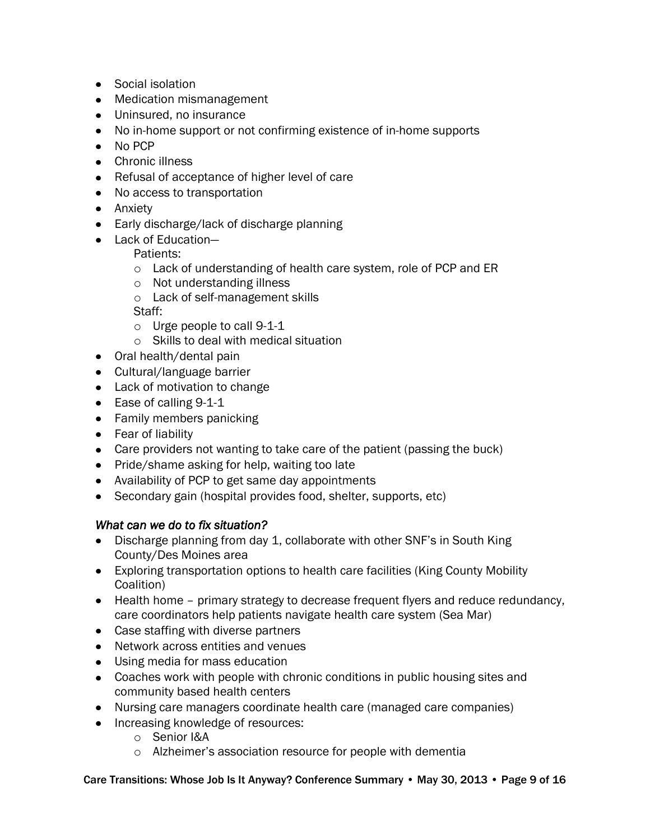- Social isolation
- Medication mismanagement
- Uninsured, no insurance
- No in-home support or not confirming existence of in-home supports
- No PCP
- Chronic illness
- Refusal of acceptance of higher level of care
- No access to transportation
- Anxiety
- Early discharge/lack of discharge planning
- Lack of Education-

Patients:

- o Lack of understanding of health care system, role of PCP and ER
- o Not understanding illness
- o Lack of self-management skills

Staff:

- o Urge people to call 9-1-1
- o Skills to deal with medical situation
- Oral health/dental pain
- Cultural/language barrier
- Lack of motivation to change
- Ease of calling 9-1-1
- Family members panicking
- Fear of liability
- Care providers not wanting to take care of the patient (passing the buck)
- Pride/shame asking for help, waiting too late
- Availability of PCP to get same day appointments
- Secondary gain (hospital provides food, shelter, supports, etc)

#### *What can we do to fix situation?*

- Discharge planning from day 1, collaborate with other SNF's in South King County/Des Moines area
- Exploring transportation options to health care facilities (King County Mobility Coalition)
- Health home primary strategy to decrease frequent flyers and reduce redundancy, care coordinators help patients navigate health care system (Sea Mar)
- Case staffing with diverse partners
- Network across entities and venues
- Using media for mass education
- Coaches work with people with chronic conditions in public housing sites and community based health centers
- Nursing care managers coordinate health care (managed care companies)
- Increasing knowledge of resources:
	- o Senior I&A
	- o Alzheimer's association resource for people with dementia

Care Transitions: Whose Job Is It Anyway? Conference Summary • May 30, 2013 • Page 9 of 16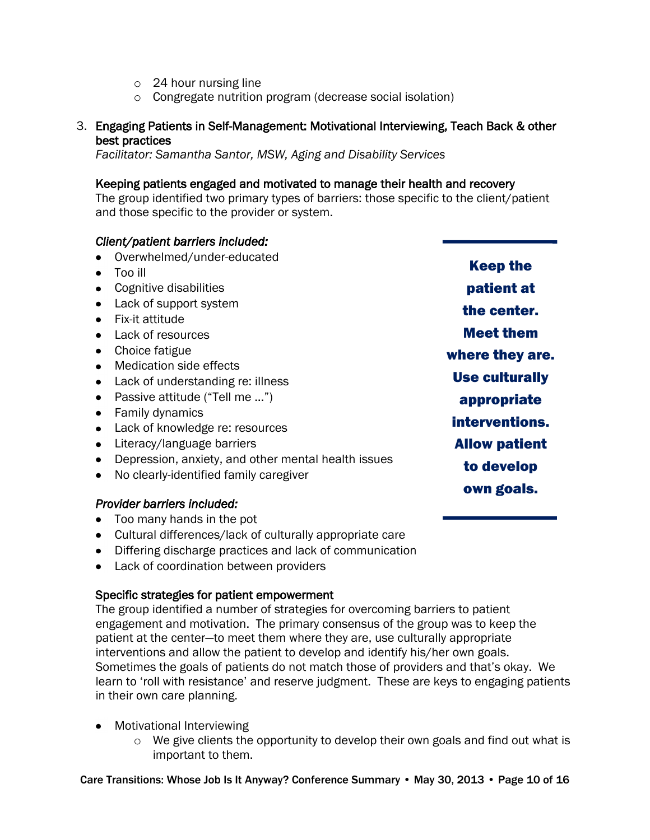- o 24 hour nursing line
- o Congregate nutrition program (decrease social isolation)

#### 3. Engaging Patients in Self-Management: Motivational Interviewing, Teach Back & other best practices

*Facilitator: Samantha Santor, MSW, Aging and Disability Services*

#### Keeping patients engaged and motivated to manage their health and recovery

The group identified two primary types of barriers: those specific to the client/patient and those specific to the provider or system.

#### *Client/patient barriers included:*

- Overwhelmed/under-educated
- Too ill
- Cognitive disabilities
- Lack of support system
- Fix-it attitude
- Lack of resources
- Choice fatigue
- Medication side effects
- Lack of understanding re: illness
- Passive attitude ("Tell me ...")
- Family dynamics
- Lack of knowledge re: resources
- Literacy/language barriers
- Depression, anxiety, and other mental health issues
- No clearly-identified family caregiver

#### *Provider barriers included:*

- Too many hands in the pot
- Cultural differences/lack of culturally appropriate care
- Differing discharge practices and lack of communication
- Lack of coordination between providers

#### Specific strategies for patient empowerment

The group identified a number of strategies for overcoming barriers to patient engagement and motivation. The primary consensus of the group was to keep the patient at the center—to meet them where they are, use culturally appropriate interventions and allow the patient to develop and identify his/her own goals. Sometimes the goals of patients do not match those of providers and that's okay. We learn to 'roll with resistance' and reserve judgment. These are keys to engaging patients in their own care planning.

- Motivational Interviewing
	- o We give clients the opportunity to develop their own goals and find out what is important to them.

Keep the patient at the center. Meet them where they are. Use culturally appropriate interventions. Allow patient to develop own goals.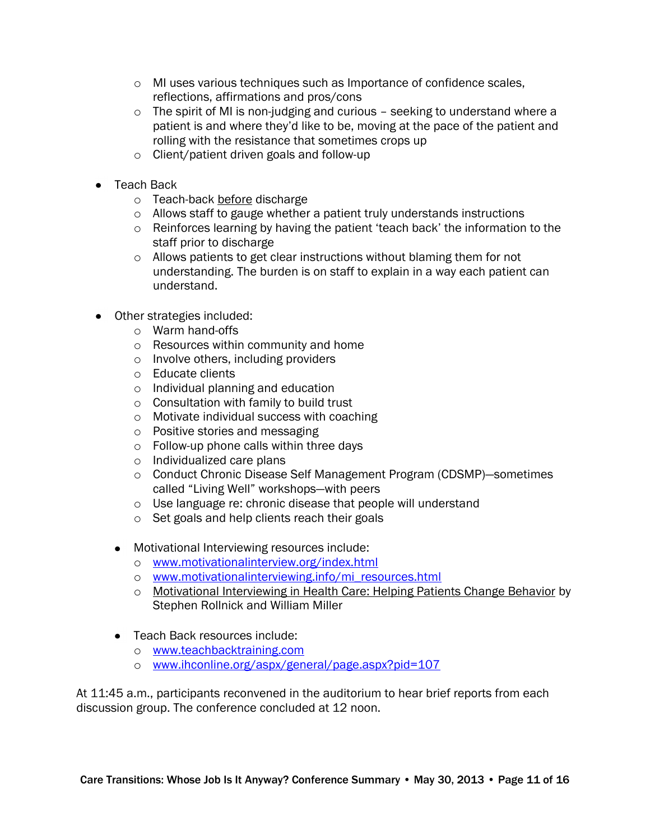- o MI uses various techniques such as Importance of confidence scales, reflections, affirmations and pros/cons
- o The spirit of MI is non-judging and curious seeking to understand where a patient is and where they'd like to be, moving at the pace of the patient and rolling with the resistance that sometimes crops up
- o Client/patient driven goals and follow-up
- Teach Back
	- o Teach-back before discharge
	- o Allows staff to gauge whether a patient truly understands instructions
	- o Reinforces learning by having the patient 'teach back' the information to the staff prior to discharge
	- o Allows patients to get clear instructions without blaming them for not understanding. The burden is on staff to explain in a way each patient can understand.
- Other strategies included:
	- o Warm hand-offs
	- o Resources within community and home
	- o Involve others, including providers
	- o Educate clients
	- o Individual planning and education
	- o Consultation with family to build trust
	- o Motivate individual success with coaching
	- o Positive stories and messaging
	- o Follow-up phone calls within three days
	- o Individualized care plans
	- o Conduct Chronic Disease Self Management Program (CDSMP)—sometimes called "Living Well" workshops—with peers
	- o Use language re: chronic disease that people will understand
	- o Set goals and help clients reach their goals
	- Motivational Interviewing resources include:
		- o [www.motivationalinterview.org/index.html](http://www.motivationalinterview.org/index.html)
		- o [www.motivationalinterviewing.info/mi\\_resources.html](http://www.motivationalinterviewing.info/mi_resources.html)
		- o Motivational Interviewing in Health Care: Helping Patients Change Behavior by Stephen Rollnick and William Miller
	- Teach Back resources include:
		- o [www.teachbacktraining.com](http://www.teachbacktraining.com/)
		- o [www.ihconline.org/aspx/general/page.aspx?pid=107](http://www.ihconline.org/aspx/general/page.aspx?pid=107)

At 11:45 a.m., participants reconvened in the auditorium to hear brief reports from each discussion group. The conference concluded at 12 noon.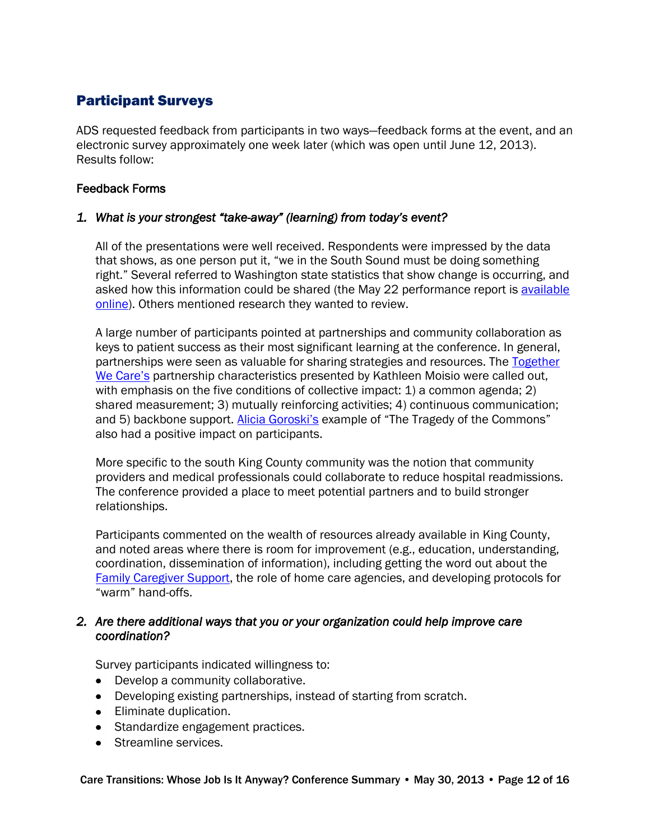## Participant Surveys

ADS requested feedback from participants in two ways—feedback forms at the event, and an electronic survey approximately one week later (which was open until June 12, 2013). Results follow:

#### Feedback Forms

#### *1. What is your strongest "take-away" (learning) from today's event?*

All of the presentations were well received. Respondents were impressed by the data that shows, as one person put it, "we in the South Sound must be doing something right." Several referred to Washington state statistics that show change is occurring, and asked how this information could be shared (the May 22 performance report is [available](http://www.agingkingcounty.org/healthcarereform/docs/Presentation_handout_SelenaBolotin.pdf)  [online\)](http://www.agingkingcounty.org/healthcarereform/docs/Presentation_handout_SelenaBolotin.pdf). Others mentioned research they wanted to review.

A large number of participants pointed at partnerships and community collaboration as keys to patient success as their most significant learning at the conference. In general, partnerships were seen as valuable for sharing strategies and resources. The Together [We Care's](http://www.agingkingcounty.org/healthcarereform/docs/Presentation_TogetherWeCare.pdf) partnership characteristics presented by Kathleen Moisio were called out, with emphasis on the five conditions of collective impact: 1) a common agenda; 2) shared measurement; 3) mutually reinforcing activities; 4) continuous communication; and 5) backbone support. [Alicia Goroski's](http://www.agingkingcounty.org/healthcarereform/docs/Presentation_AliciaGoroski.pdf) example of "The Tragedy of the Commons" also had a positive impact on participants.

More specific to the south King County community was the notion that community providers and medical professionals could collaborate to reduce hospital readmissions. The conference provided a place to meet potential partners and to build stronger relationships.

Participants commented on the wealth of resources already available in King County, and noted areas where there is room for improvement (e.g., education, understanding, coordination, dissemination of information), including getting the word out about the [Family Caregiver Support,](http://www.kccaregiver.org/) the role of home care agencies, and developing protocols for "warm" hand-offs.

#### *2. Are there additional ways that you or your organization could help improve care coordination?*

Survey participants indicated willingness to:

- Develop a community collaborative.
- Developing existing partnerships, instead of starting from scratch.
- Eliminate duplication.
- Standardize engagement practices.
- Streamline services.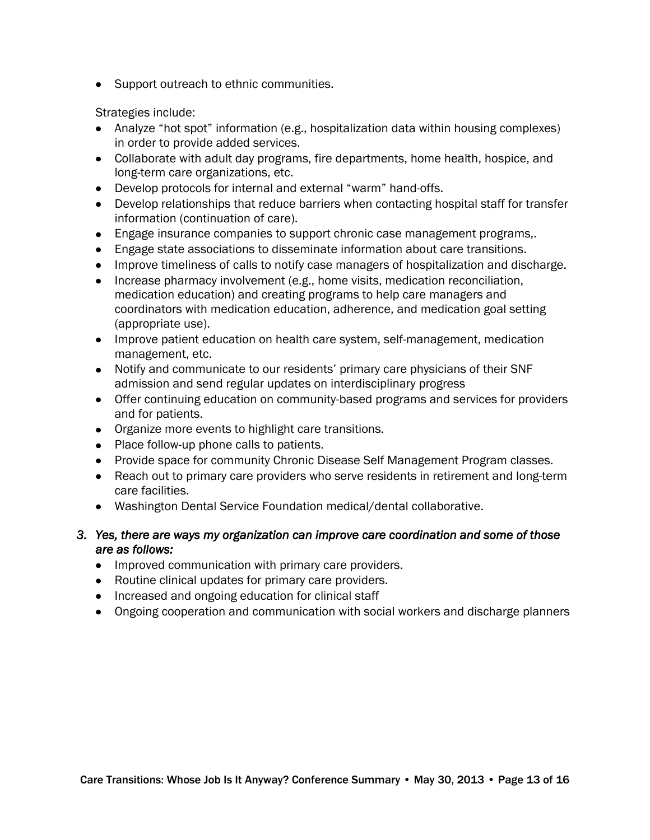• Support outreach to ethnic communities.

Strategies include:

- Analyze "hot spot" information (e.g., hospitalization data within housing complexes) in order to provide added services.
- Collaborate with adult day programs, fire departments, home health, hospice, and long-term care organizations, etc.
- Develop protocols for internal and external "warm" hand-offs.
- Develop relationships that reduce barriers when contacting hospital staff for transfer information (continuation of care).
- Engage insurance companies to support chronic case management programs,.
- Engage state associations to disseminate information about care transitions.
- Improve timeliness of calls to notify case managers of hospitalization and discharge.
- Increase pharmacy involvement (e.g., home visits, medication reconciliation, medication education) and creating programs to help care managers and coordinators with medication education, adherence, and medication goal setting (appropriate use).
- Improve patient education on health care system, self-management, medication management, etc.
- Notify and communicate to our residents' primary care physicians of their SNF admission and send regular updates on interdisciplinary progress
- Offer continuing education on community-based programs and services for providers and for patients.
- Organize more events to highlight care transitions.
- Place follow-up phone calls to patients.
- Provide space for community Chronic Disease Self Management Program classes.
- Reach out to primary care providers who serve residents in retirement and long-term care facilities.
- Washington Dental Service Foundation medical/dental collaborative.
- *3. Yes, there are ways my organization can improve care coordination and some of those are as follows:* 
	- Improved communication with primary care providers.
	- Routine clinical updates for primary care providers.
	- Increased and ongoing education for clinical staff
	- Ongoing cooperation and communication with social workers and discharge planners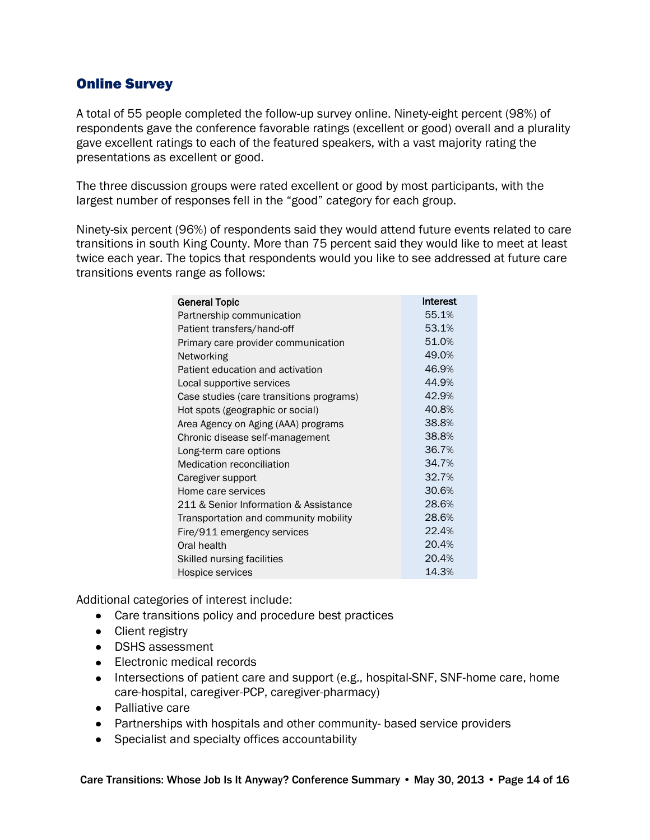## Online Survey

A total of 55 people completed the follow-up survey online. Ninety-eight percent (98%) of respondents gave the conference favorable ratings (excellent or good) overall and a plurality gave excellent ratings to each of the featured speakers, with a vast majority rating the presentations as excellent or good.

The three discussion groups were rated excellent or good by most participants, with the largest number of responses fell in the "good" category for each group.

Ninety-six percent (96%) of respondents said they would attend future events related to care transitions in south King County. More than 75 percent said they would like to meet at least twice each year. The topics that respondents would you like to see addressed at future care transitions events range as follows:

| <b>General Topic</b>                     | <b>Interest</b> |
|------------------------------------------|-----------------|
| Partnership communication                | 55.1%           |
| Patient transfers/hand-off               | 53.1%           |
| Primary care provider communication      | 51.0%           |
| Networking                               | 49.0%           |
| Patient education and activation         | 46.9%           |
| Local supportive services                | 44.9%           |
| Case studies (care transitions programs) | 42.9%           |
| Hot spots (geographic or social)         | 40.8%           |
| Area Agency on Aging (AAA) programs      | 38.8%           |
| Chronic disease self-management          | 38.8%           |
| Long-term care options                   | 36.7%           |
| <b>Medication reconciliation</b>         | 34.7%           |
| Caregiver support                        | 32.7%           |
| Home care services                       | 30.6%           |
| 211 & Senior Information & Assistance    | 28.6%           |
| Transportation and community mobility    | 28.6%           |
| Fire/911 emergency services              | 22.4%           |
| Oral health                              | 20.4%           |
| Skilled nursing facilities               | 20.4%           |
| Hospice services                         | 14.3%           |

Additional categories of interest include:

- Care transitions policy and procedure best practices
- Client registry
- DSHS assessment
- Electronic medical records
- Intersections of patient care and support (e.g., hospital-SNF, SNF-home care, home care-hospital, caregiver-PCP, caregiver-pharmacy)
- Palliative care
- Partnerships with hospitals and other community- based service providers
- Specialist and specialty offices accountability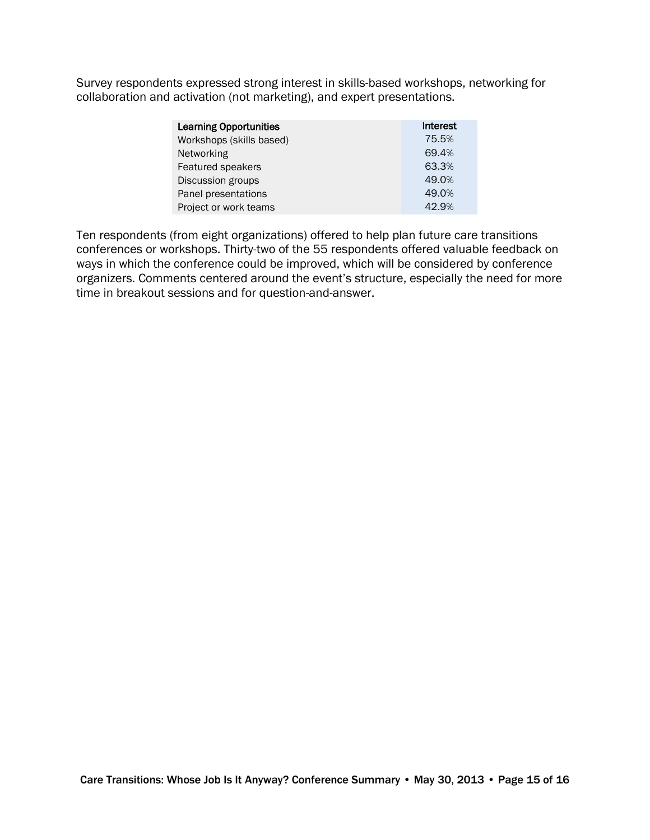Survey respondents expressed strong interest in skills-based workshops, networking for collaboration and activation (not marketing), and expert presentations.

| <b>Learning Opportunities</b> | Interest |
|-------------------------------|----------|
| Workshops (skills based)      | 75.5%    |
| Networking                    | 69.4%    |
| Featured speakers             | 63.3%    |
| Discussion groups             | 49.0%    |
| Panel presentations           | 49.0%    |
| Project or work teams         | 42.9%    |

Ten respondents (from eight organizations) offered to help plan future care transitions conferences or workshops. Thirty-two of the 55 respondents offered valuable feedback on ways in which the conference could be improved, which will be considered by conference organizers. Comments centered around the event's structure, especially the need for more time in breakout sessions and for question-and-answer.